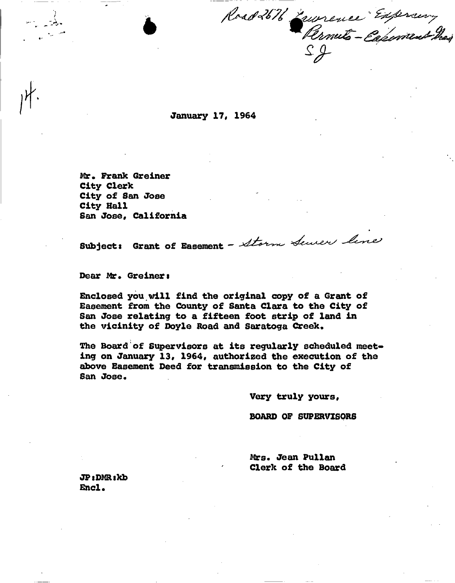Road 2676 Zeurence Expremy

January 17, 1964

Mr. Frank Greiner City Clerk City of San Jose City Hall San Jose, California

.-"

 $\texttt{Subject:}$  Grant of Easement - Storm Sener line

Dear Mr. Greiner I

Enclosed you.will find the original copy of a Grant of Easement from the County of Santa Clara to the City of San Jose relating to a fifteen foot strip of land in the vicinity of Doyle Road and Saratoga Creek.

The Board'of Supervisors at its regularly scheduled meeting on January 13, 1964, authorized the execution of the above Basement Deed for transmission to the City of San Jose.

Very truly yours,

BOARD OF SUPERVISORS

Mrs. Jean Pullan Clerk of the Board

JPaDMR.kb Encl.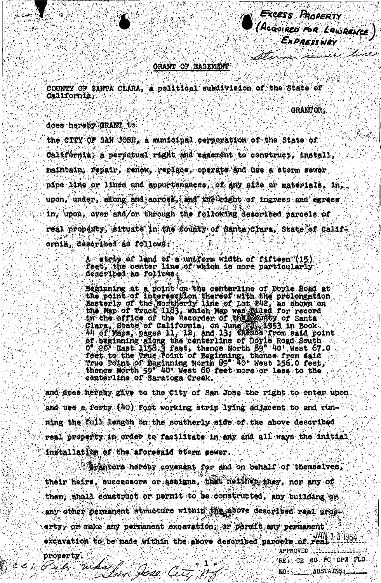EXCESS PROPERTY (AcQUIRED FOR LAWRENCE)

Sterm remier line

## GRANT OF EASEMENT

COUNTY OF SANTA CLARA, a political subdivision of the State of **California;** 

GRANTOR.

NO: ABSTAINS

does hereby GRANT to

the CITY OF SAN JOSE, a municipal corporation of the State of California; a perpetual right and easement to construct, install, maintain, repair, renew, replace, operate and use a storm sewer pipe line or lines and appurtunances, of any size or materials, in, upon, under, along and across, and the right of ingress and egress in, upon, over and/or through the following described parcels of real property, situate in the county of Santa Clara, State of California, described as follows:

> A strip of land of a unaform width of fifteen (15) feet, the center line of which is more particularly described as follows

Beginning at a point on the centerline of Doyle Road at<br>the point of intersection thereof with the prolongation<br>Easterly of the Northerly line of Lot 242, as shown on<br>the Map of Tract 1183, which Map was filed for record<br>i feet to the True Point of Beginning, thence from said<br>True Point of Beginning North 89 40' West 156.0 feet,<br>thence North 59 40' West 60 feet more or less to the centerline of Saratoga Creek.

and does hereby give to the City of San Jose the right to enter upon and use a forty (40) foot working strip lying adjacent to and running the full length on the southerly side of the above described real property in order to facilitate in any and all ways the initial installation of the aforesaid storm sever.

Grantors hereby covenant for and on behalf of themselves, their heirs, successors or assigns, that neither they, nor any of them, shall construct or permit to be constructed, any building or any other permanent structure within the above described real property, or make any permanent excavation, or permit any permanent excavation to be made within the above described parcels of  $real$ . APPROVED. property. REL CE (CC FC DPT FLD Field what have any a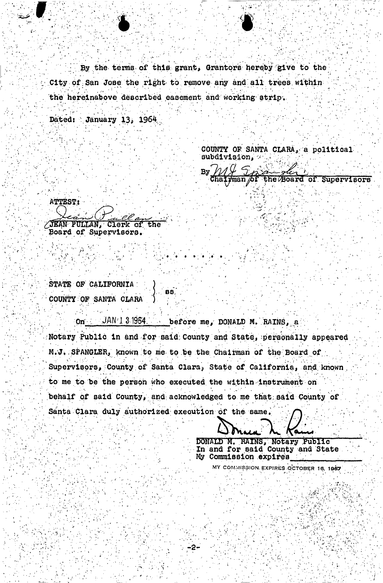By the terms of this grant, Grantors hereby give to the City of San Jose the right to remove any and all trees within the hereinabove described easement and working strip.

Dated: January 13, 1964

COUNTY OF SANTA CLARA. a political subdivision,

いんし By the Board of Supervisors

ATTEST:

JEAN PULLAN, Clerk of the Board of Supervisors.

STATE OF CALIFORNIA COUNTY OF SANTA CLARA

On JAN'1 3 1964. before me, DONALD M. RAINS, a Notary Public in and for said County and State, personally appeared M.J. SPANGLER, known to me to be the Chairman of the Board of Supervisors, County of Santa Clara, State of California, and known to me to be the person who executed the within instrument on behalf of said County, and acknowledged to me that said County of Santa Clara duly authorized execution of the same.

DONALD M. RAINS, Notary Public

In and for said County and State My Commission expires

MY COMMISSION EXPIRES OCTOBER 16, 1967